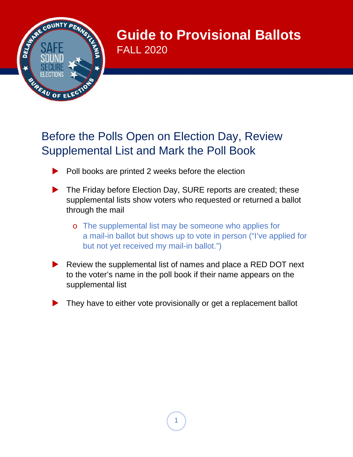

**Guide to Provisional Ballots** FALL 2020

# Before the Polls Open on Election Day, Review Supplemental List and Mark the Poll Book

- $\blacktriangleright$  Poll books are printed 2 weeks before the election
- The Friday before Election Day, SURE reports are created; these supplemental lists show voters who requested or returned a ballot through the mail
	- o The supplemental list may be someone who applies for a mail-in ballot but shows up to vote in person ("I've applied for but not yet received my mail-in ballot.")
- Review the supplemental list of names and place a RED DOT next to the voter's name in the poll book if their name appears on the supplemental list
- They have to either vote provisionally or get a replacement ballot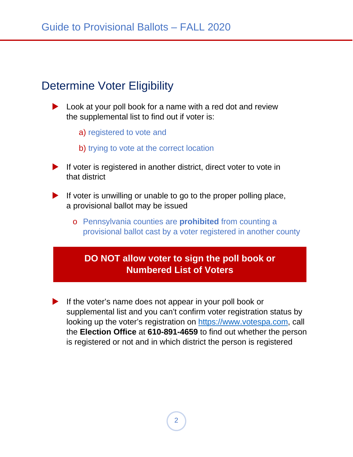## Determine Voter Eligibility

- **Look at your poll book for a name with a red dot and review** the supplemental list to find out if voter is:
	- a) registered to vote and
	- b) trying to vote at the correct location
- $\blacktriangleright$  If voter is registered in another district, direct voter to vote in that district
- If voter is unwilling or unable to go to the proper polling place, a provisional ballot may be issued
	- o Pennsylvania counties are **prohibited** from counting a provisional ballot cast by a voter registered in another county

### **DO NOT allow voter to sign the poll book or Numbered List of Voters**

If the voter's name does not appear in your poll book or supplemental list and you can't confirm voter registration status by looking up the voter's registration on [https://www.votespa.com,](https://www.votespa.com/) call the **Election Office** at **610-891-4659** to find out whether the person is registered or not and in which district the person is registered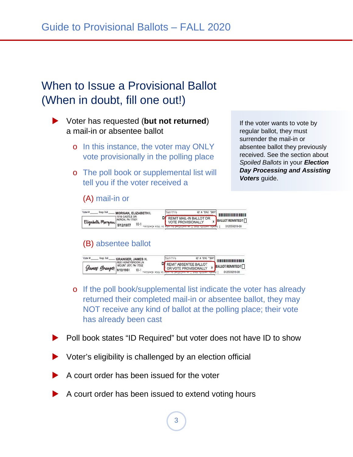## When to Issue a Provisional Ballot (When in doubt, fill one out!)

 Voter has requested (**but not returned**) a mail-in or absentee ballot

- o In this instance, the voter may ONLY vote provisionally in the polling place
- o The poll book or supplemental list will tell you if the voter received a

#### (A) mail-in or



### (B) absentee ballot



- o If the poll book/supplemental list indicate the voter has already returned their completed mail-in or absentee ballot, they may NOT receive any kind of ballot at the polling place; their vote has already been cast
- Poll book states "ID Required" but voter does not have ID to show
- Voter's eligibility is challenged by an election official
- A court order has been issued for the voter
- A court order has been issued to extend voting hours

If the voter wants to vote by regular ballot, they must surrender the mail-in or absentee ballot they previously received. See the section about *Spoiled Ballots* in your *Election Day Processing and Assisting Voters* guide.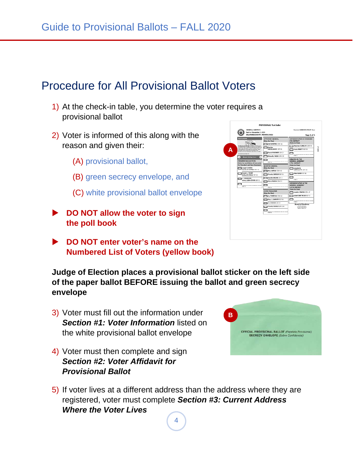### Procedure for All Provisional Ballot Voters

- 1) At the check-in table, you determine the voter requires a provisional ballot
- 2) Voter is informed of this along with the reason and given their:
	- (A) provisional ballot,
	- (B) green secrecy envelope, and
	- (C) white provisional ballot envelope
- **DO NOT allow the voter to sign the poll book**
- **DO NOT enter voter's name on the Numbered List of Voters (yellow book)**

**Judge of Election places a provisional ballot sticker on the left side of the paper ballot BEFORE issuing the ballot and green secrecy envelope**

- 3) Voter must fill out the information under *Section #1: Voter Information* listed on the white provisional ballot envelope
- 4) Voter must then complete and sign *Section #2: Voter Affidavit for Provisional Ballot*
- 5) If voter lives at a different address than the address where they are registered, voter must complete *Section #3: Current Address Where the Voter Lives*



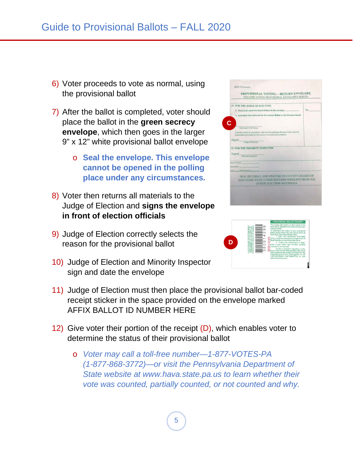- 6) Voter proceeds to vote as normal, using the provisional ballot
- 7) After the ballot is completed, voter should place the ballot in the **green secrecy envelope**, which then goes in the larger 9" x 12" white provisional ballot envelope
	- o **Seal the envelope. This envelope cannot be opened in the polling place under any circumstances.**
- 8) Voter then returns all materials to the Judge of Election and **signs the envelope in front of election officials**
- 9) Judge of Election correctly selects the reason for the provisional ballot
- 10) Judge of Election and Minority Inspector sign and date the envelope



- 12) Give voter their portion of the receipt  $(D)$ , which enables voter to determine the status of their provisional ballot
	- o *Voter may call a toll-free number—1-877-VOTES-PA (1-877-868-3772)—or visit the Pennsylvania Department of State website at [www.hava.state.pa.us](http://www.hava.state.pa.us/) to learn whether their vote was counted, partially counted, or not counted and why.*



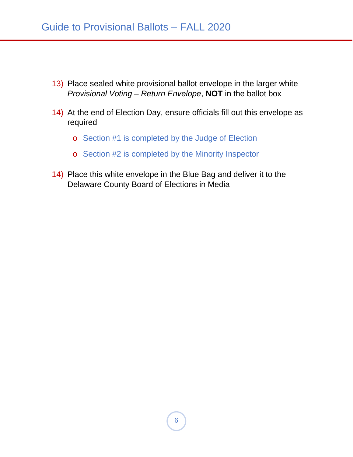- 13) Place sealed white provisional ballot envelope in the larger white *Provisional Voting – Return Envelope*, **NOT** in the ballot box
- 14) At the end of Election Day, ensure officials fill out this envelope as required
	- o Section #1 is completed by the Judge of Election
	- o Section #2 is completed by the Minority Inspector
- 14) Place this white envelope in the Blue Bag and deliver it to the Delaware County Board of Elections in Media